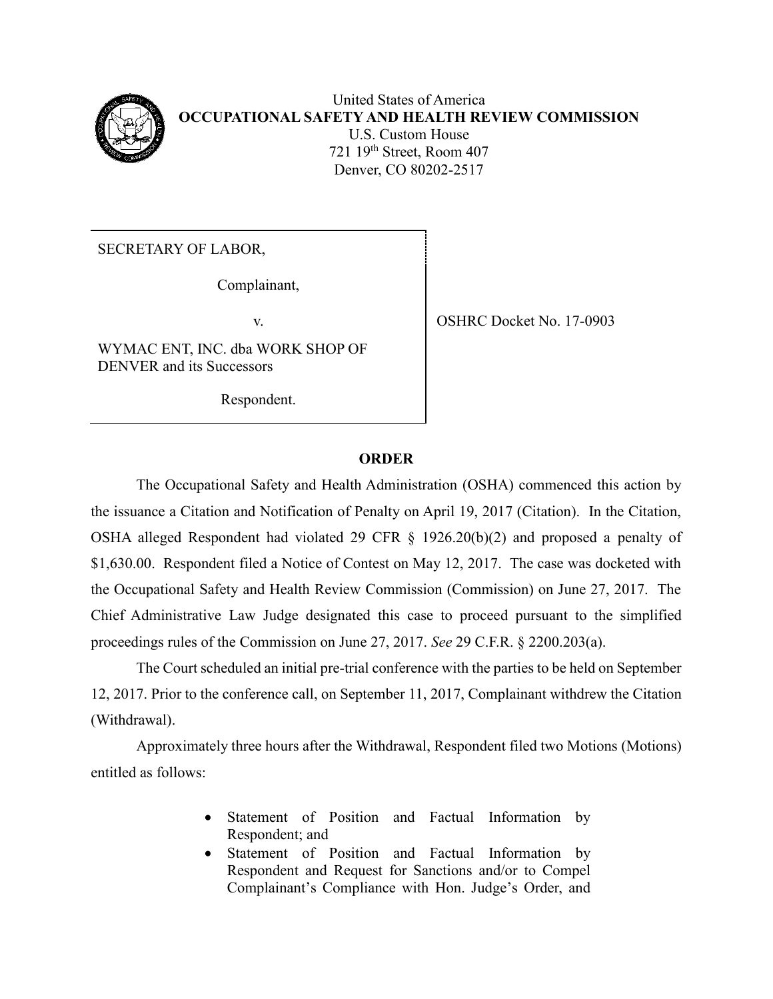

United States of America **OCCUPATIONAL SAFETY AND HEALTH REVIEW COMMISSION** U.S. Custom House 721 19th Street, Room 407 Denver, CO 80202-2517

SECRETARY OF LABOR,

Complainant,

WYMAC ENT, INC. dba WORK SHOP OF DENVER and its Successors

Respondent.

v. SHRC Docket No. 17-0903

## **ORDER**

The Occupational Safety and Health Administration (OSHA) commenced this action by the issuance a Citation and Notification of Penalty on April 19, 2017 (Citation). In the Citation, OSHA alleged Respondent had violated 29 CFR § 1926.20(b)(2) and proposed a penalty of \$1,630.00. Respondent filed a Notice of Contest on May 12, 2017. The case was docketed with the Occupational Safety and Health Review Commission (Commission) on June 27, 2017. The Chief Administrative Law Judge designated this case to proceed pursuant to the simplified proceedings rules of the Commission on June 27, 2017. *See* 29 C.F.R. § 2200.203(a).

The Court scheduled an initial pre-trial conference with the parties to be held on September 12, 2017. Prior to the conference call, on September 11, 2017, Complainant withdrew the Citation (Withdrawal).

Approximately three hours after the Withdrawal, Respondent filed two Motions (Motions) entitled as follows:

- Statement of Position and Factual Information by Respondent; and
- Statement of Position and Factual Information by Respondent and Request for Sanctions and/or to Compel Complainant's Compliance with Hon. Judge's Order, and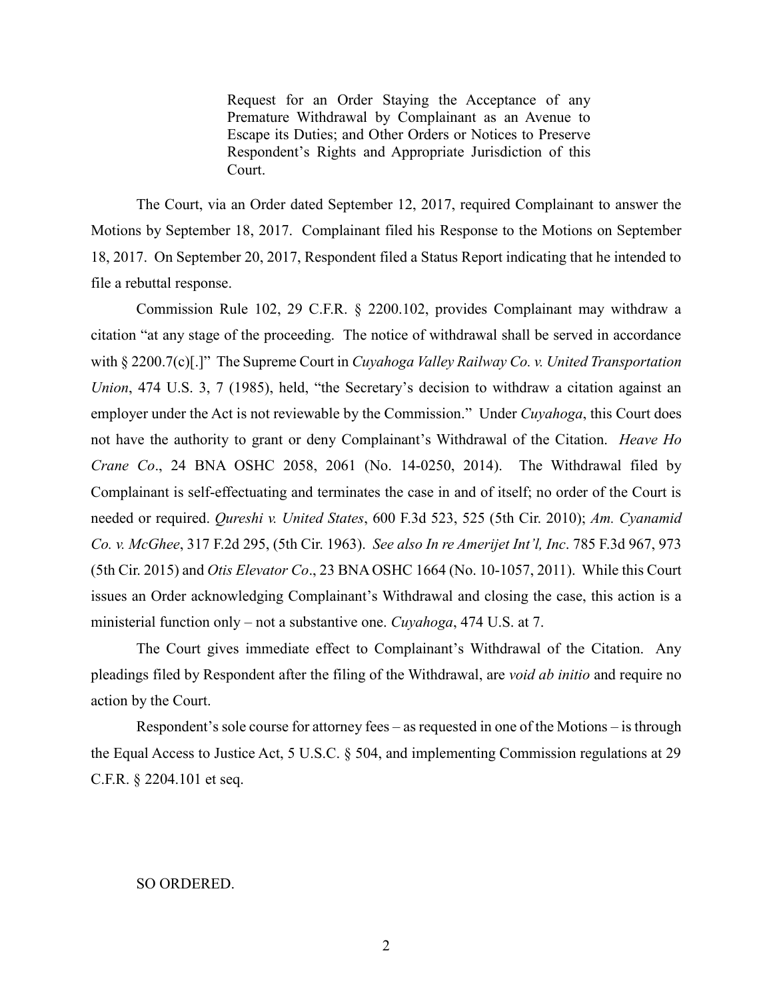Request for an Order Staying the Acceptance of any Premature Withdrawal by Complainant as an Avenue to Escape its Duties; and Other Orders or Notices to Preserve Respondent's Rights and Appropriate Jurisdiction of this Court.

The Court, via an Order dated September 12, 2017, required Complainant to answer the Motions by September 18, 2017. Complainant filed his Response to the Motions on September 18, 2017. On September 20, 2017, Respondent filed a Status Report indicating that he intended to file a rebuttal response.

Commission Rule 102, 29 C.F.R. § 2200.102, provides Complainant may withdraw a citation "at any stage of the proceeding. The notice of withdrawal shall be served in accordance with § 2200.7(c)[.]" The Supreme Court in *Cuyahoga Valley Railway Co. v. United Transportation Union*, 474 U.S. 3, 7 (1985), held, "the Secretary's decision to withdraw a citation against an employer under the Act is not reviewable by the Commission." Under *Cuyahoga*, this Court does not have the authority to grant or deny Complainant's Withdrawal of the Citation. *Heave Ho Crane Co*., 24 BNA OSHC 2058, 2061 (No. 14-0250, 2014). The Withdrawal filed by Complainant is self-effectuating and terminates the case in and of itself; no order of the Court is needed or required. *Qureshi v. United States*, 600 F.3d 523, 525 (5th Cir. 2010); *Am. Cyanamid Co. v. McGhee*, 317 F.2d 295, (5th Cir. 1963). *See also In re Amerijet Int'l, Inc*. 785 F.3d 967, 973 (5th Cir. 2015) and *Otis Elevator Co*., 23 BNA OSHC 1664 (No. 10-1057, 2011). While this Court issues an Order acknowledging Complainant's Withdrawal and closing the case, this action is a ministerial function only – not a substantive one. *Cuyahoga*, 474 U.S. at 7.

The Court gives immediate effect to Complainant's Withdrawal of the Citation. Any pleadings filed by Respondent after the filing of the Withdrawal, are *void ab initio* and require no action by the Court.

Respondent's sole course for attorney fees – as requested in one of the Motions – is through the Equal Access to Justice Act, 5 U.S.C. § 504, and implementing Commission regulations at 29 C.F.R. § 2204.101 et seq.

## SO ORDERED.